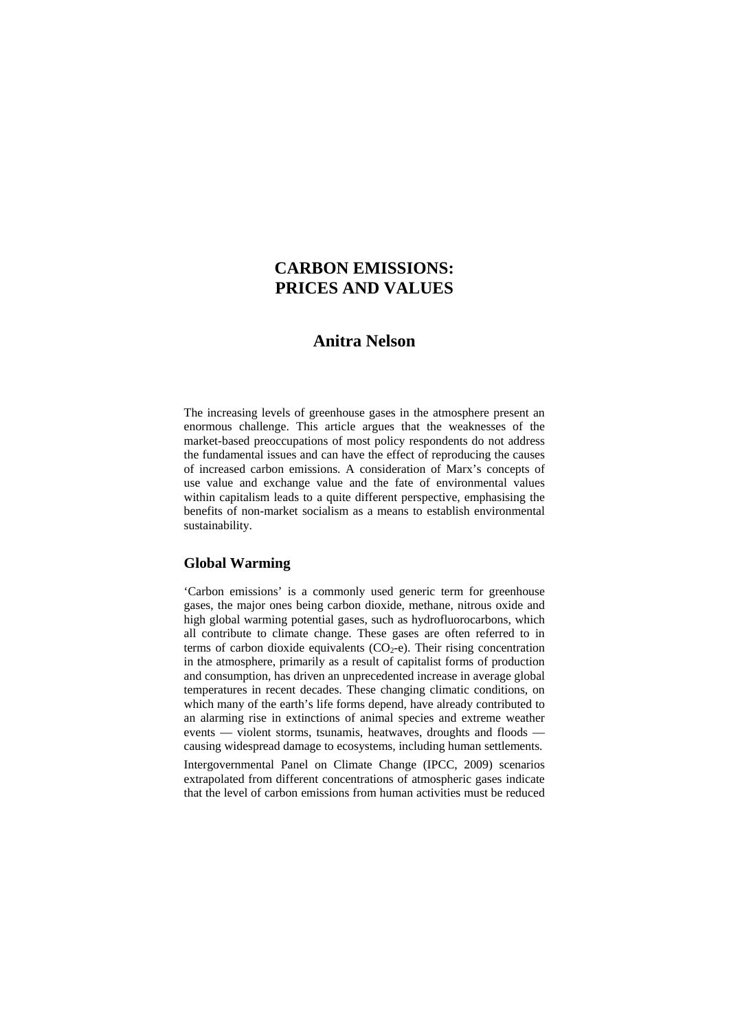# **CARBON EMISSIONS: PRICES AND VALUES**

# **Anitra Nelson**

The increasing levels of greenhouse gases in the atmosphere present an enormous challenge. This article argues that the weaknesses of the market-based preoccupations of most policy respondents do not address the fundamental issues and can have the effect of reproducing the causes of increased carbon emissions. A consideration of Marx's concepts of use value and exchange value and the fate of environmental values within capitalism leads to a quite different perspective, emphasising the benefits of non-market socialism as a means to establish environmental sustainability.

### **Global Warming**

'Carbon emissions' is a commonly used generic term for greenhouse gases, the major ones being carbon dioxide, methane, nitrous oxide and high global warming potential gases, such as hydrofluorocarbons, which all contribute to climate change. These gases are often referred to in terms of carbon dioxide equivalents  $(CO<sub>2</sub>-e)$ . Their rising concentration in the atmosphere, primarily as a result of capitalist forms of production and consumption, has driven an unprecedented increase in average global temperatures in recent decades. These changing climatic conditions, on which many of the earth's life forms depend, have already contributed to an alarming rise in extinctions of animal species and extreme weather events — violent storms, tsunamis, heatwaves, droughts and floods causing widespread damage to ecosystems, including human settlements.

Intergovernmental Panel on Climate Change (IPCC, 2009) scenarios extrapolated from different concentrations of atmospheric gases indicate that the level of carbon emissions from human activities must be reduced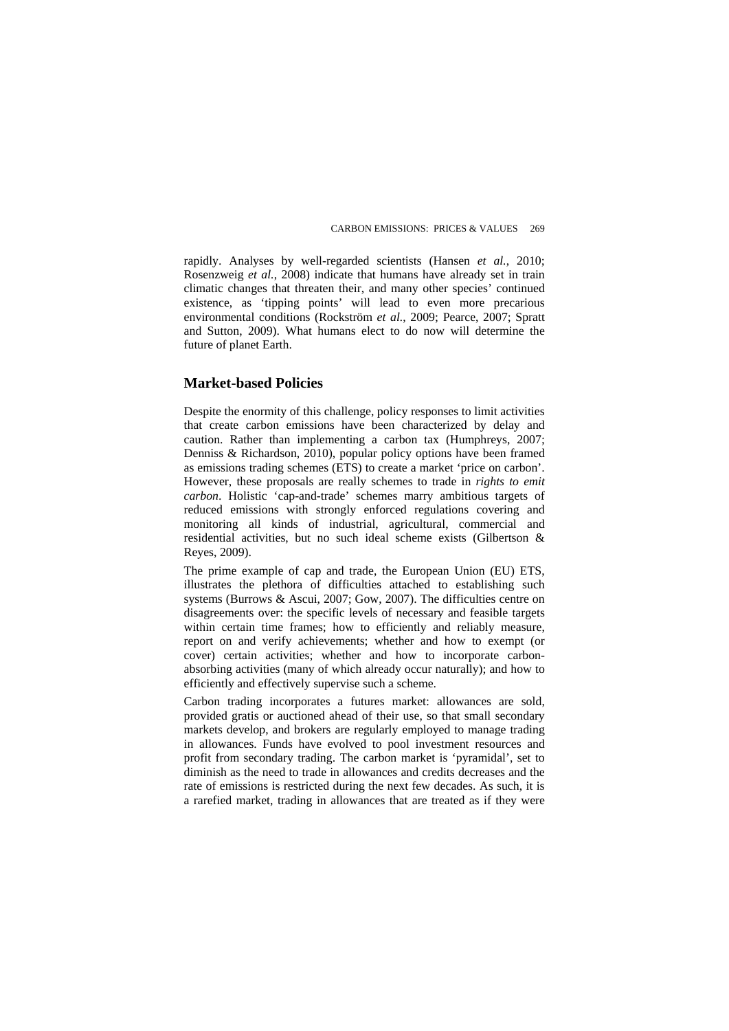rapidly. Analyses by well-regarded scientists (Hansen *et al.*, 2010; Rosenzweig *et al.*, 2008) indicate that humans have already set in train climatic changes that threaten their, and many other species' continued existence, as 'tipping points' will lead to even more precarious environmental conditions (Rockström *et al.*, 2009; Pearce, 2007; Spratt and Sutton, 2009). What humans elect to do now will determine the future of planet Earth.

### **Market-based Policies**

Despite the enormity of this challenge, policy responses to limit activities that create carbon emissions have been characterized by delay and caution. Rather than implementing a carbon tax (Humphreys, 2007; Denniss & Richardson, 2010), popular policy options have been framed as emissions trading schemes (ETS) to create a market 'price on carbon'. However, these proposals are really schemes to trade in *rights to emit carbon*. Holistic 'cap-and-trade' schemes marry ambitious targets of reduced emissions with strongly enforced regulations covering and monitoring all kinds of industrial, agricultural, commercial and residential activities, but no such ideal scheme exists (Gilbertson & Reyes, 2009).

The prime example of cap and trade, the European Union (EU) ETS, illustrates the plethora of difficulties attached to establishing such systems (Burrows & Ascui, 2007; Gow, 2007). The difficulties centre on disagreements over: the specific levels of necessary and feasible targets within certain time frames; how to efficiently and reliably measure, report on and verify achievements; whether and how to exempt (or cover) certain activities; whether and how to incorporate carbonabsorbing activities (many of which already occur naturally); and how to efficiently and effectively supervise such a scheme.

Carbon trading incorporates a futures market: allowances are sold, provided gratis or auctioned ahead of their use, so that small secondary markets develop, and brokers are regularly employed to manage trading in allowances. Funds have evolved to pool investment resources and profit from secondary trading. The carbon market is 'pyramidal', set to diminish as the need to trade in allowances and credits decreases and the rate of emissions is restricted during the next few decades. As such, it is a rarefied market, trading in allowances that are treated as if they were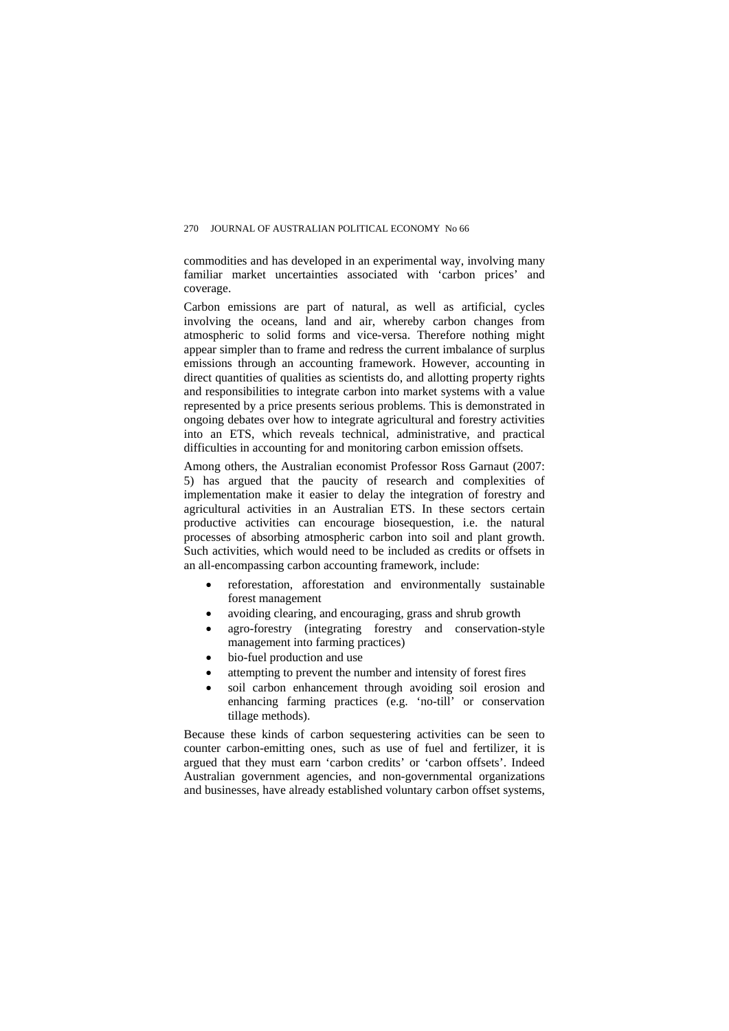#### 270 JOURNAL OF AUSTRALIAN POLITICAL ECONOMY No 66

commodities and has developed in an experimental way, involving many familiar market uncertainties associated with 'carbon prices' and coverage.

Carbon emissions are part of natural, as well as artificial, cycles involving the oceans, land and air, whereby carbon changes from atmospheric to solid forms and vice-versa. Therefore nothing might appear simpler than to frame and redress the current imbalance of surplus emissions through an accounting framework. However, accounting in direct quantities of qualities as scientists do, and allotting property rights and responsibilities to integrate carbon into market systems with a value represented by a price presents serious problems. This is demonstrated in ongoing debates over how to integrate agricultural and forestry activities into an ETS, which reveals technical, administrative, and practical difficulties in accounting for and monitoring carbon emission offsets.

Among others, the Australian economist Professor Ross Garnaut (2007: 5) has argued that the paucity of research and complexities of implementation make it easier to delay the integration of forestry and agricultural activities in an Australian ETS. In these sectors certain productive activities can encourage biosequestion, i.e. the natural processes of absorbing atmospheric carbon into soil and plant growth. Such activities, which would need to be included as credits or offsets in an all-encompassing carbon accounting framework, include:

- reforestation, afforestation and environmentally sustainable forest management
- avoiding clearing, and encouraging, grass and shrub growth
- agro-forestry (integrating forestry and conservation-style management into farming practices)
- bio-fuel production and use
- attempting to prevent the number and intensity of forest fires
- soil carbon enhancement through avoiding soil erosion and enhancing farming practices (e.g. 'no-till' or conservation tillage methods).

Because these kinds of carbon sequestering activities can be seen to counter carbon-emitting ones, such as use of fuel and fertilizer, it is argued that they must earn 'carbon credits' or 'carbon offsets'. Indeed Australian government agencies, and non-governmental organizations and businesses, have already established voluntary carbon offset systems,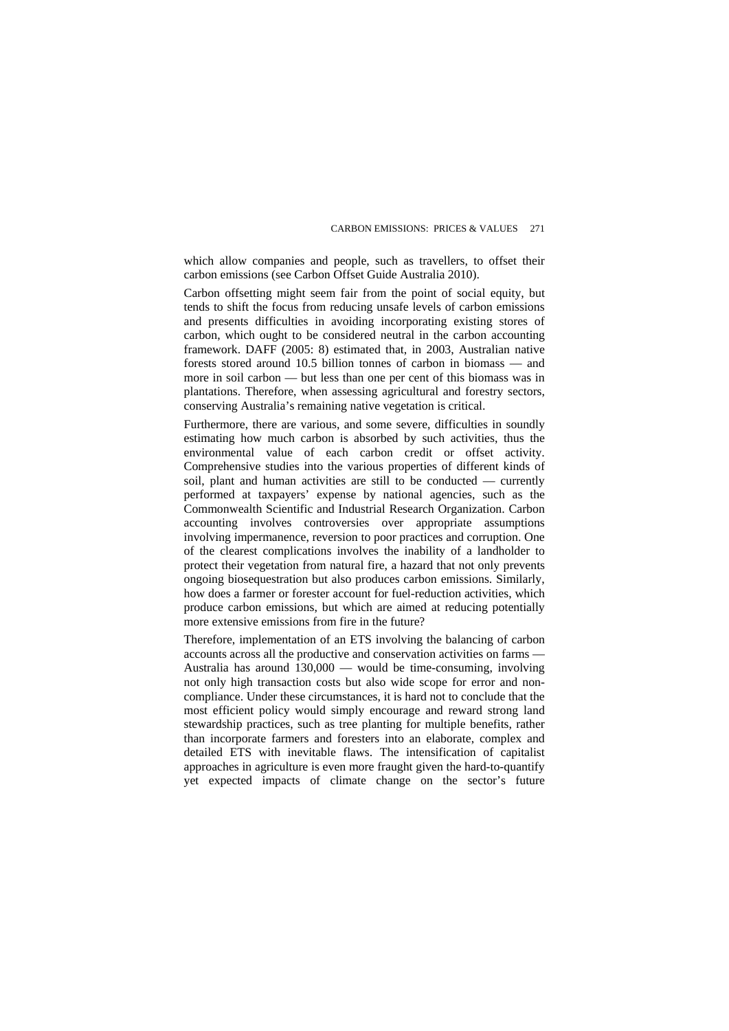which allow companies and people, such as travellers, to offset their carbon emissions (see Carbon Offset Guide Australia 2010).

Carbon offsetting might seem fair from the point of social equity, but tends to shift the focus from reducing unsafe levels of carbon emissions and presents difficulties in avoiding incorporating existing stores of carbon, which ought to be considered neutral in the carbon accounting framework. DAFF (2005: 8) estimated that, in 2003, Australian native forests stored around 10.5 billion tonnes of carbon in biomass — and more in soil carbon — but less than one per cent of this biomass was in plantations. Therefore, when assessing agricultural and forestry sectors, conserving Australia's remaining native vegetation is critical.

Furthermore, there are various, and some severe, difficulties in soundly estimating how much carbon is absorbed by such activities, thus the environmental value of each carbon credit or offset activity. Comprehensive studies into the various properties of different kinds of soil, plant and human activities are still to be conducted — currently performed at taxpayers' expense by national agencies, such as the Commonwealth Scientific and Industrial Research Organization. Carbon accounting involves controversies over appropriate assumptions involving impermanence, reversion to poor practices and corruption. One of the clearest complications involves the inability of a landholder to protect their vegetation from natural fire, a hazard that not only prevents ongoing biosequestration but also produces carbon emissions. Similarly, how does a farmer or forester account for fuel-reduction activities, which produce carbon emissions, but which are aimed at reducing potentially more extensive emissions from fire in the future?

Therefore, implementation of an ETS involving the balancing of carbon accounts across all the productive and conservation activities on farms — Australia has around 130,000 — would be time-consuming, involving not only high transaction costs but also wide scope for error and noncompliance. Under these circumstances, it is hard not to conclude that the most efficient policy would simply encourage and reward strong land stewardship practices, such as tree planting for multiple benefits, rather than incorporate farmers and foresters into an elaborate, complex and detailed ETS with inevitable flaws. The intensification of capitalist approaches in agriculture is even more fraught given the hard-to-quantify yet expected impacts of climate change on the sector's future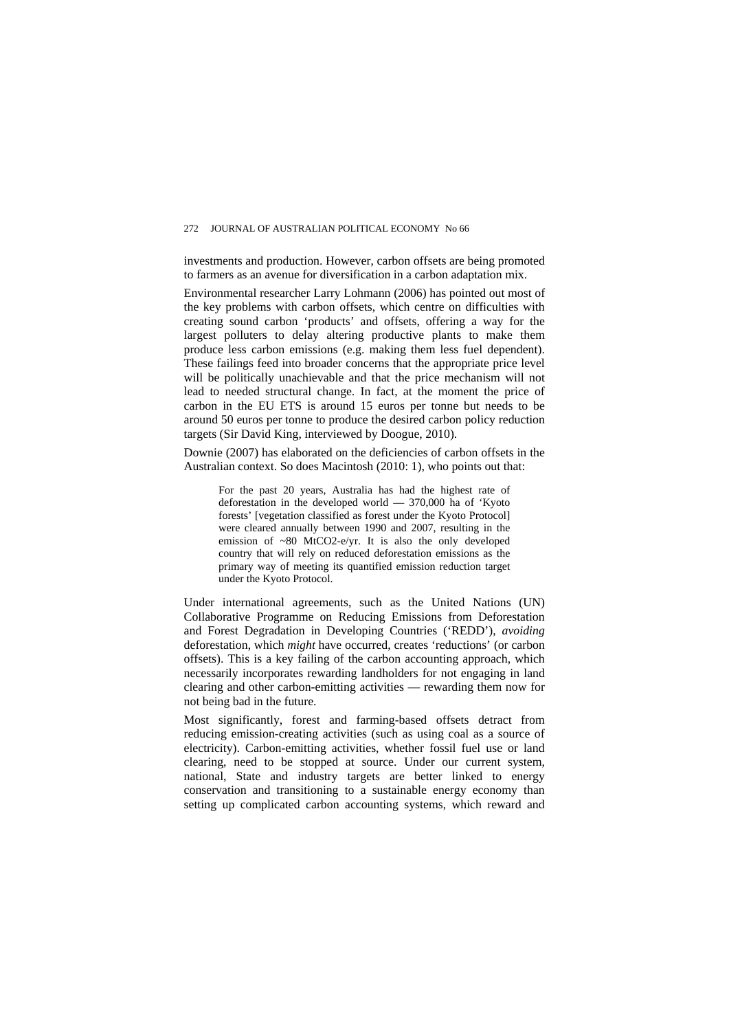investments and production. However, carbon offsets are being promoted to farmers as an avenue for diversification in a carbon adaptation mix.

Environmental researcher Larry Lohmann (2006) has pointed out most of the key problems with carbon offsets, which centre on difficulties with creating sound carbon 'products' and offsets, offering a way for the largest polluters to delay altering productive plants to make them produce less carbon emissions (e.g. making them less fuel dependent). These failings feed into broader concerns that the appropriate price level will be politically unachievable and that the price mechanism will not lead to needed structural change. In fact, at the moment the price of carbon in the EU ETS is around 15 euros per tonne but needs to be around 50 euros per tonne to produce the desired carbon policy reduction targets (Sir David King, interviewed by Doogue, 2010).

Downie (2007) has elaborated on the deficiencies of carbon offsets in the Australian context. So does Macintosh (2010: 1), who points out that:

For the past 20 years, Australia has had the highest rate of deforestation in the developed world — 370,000 ha of 'Kyoto forests' [vegetation classified as forest under the Kyoto Protocol] were cleared annually between 1990 and 2007, resulting in the emission of ~80 MtCO2-e/yr. It is also the only developed country that will rely on reduced deforestation emissions as the primary way of meeting its quantified emission reduction target under the Kyoto Protocol.

Under international agreements, such as the United Nations (UN) Collaborative Programme on Reducing Emissions from Deforestation and Forest Degradation in Developing Countries ('REDD'), *avoiding* deforestation, which *might* have occurred, creates 'reductions' (or carbon offsets). This is a key failing of the carbon accounting approach, which necessarily incorporates rewarding landholders for not engaging in land clearing and other carbon-emitting activities — rewarding them now for not being bad in the future.

Most significantly, forest and farming-based offsets detract from reducing emission-creating activities (such as using coal as a source of electricity). Carbon-emitting activities, whether fossil fuel use or land clearing, need to be stopped at source. Under our current system, national, State and industry targets are better linked to energy conservation and transitioning to a sustainable energy economy than setting up complicated carbon accounting systems, which reward and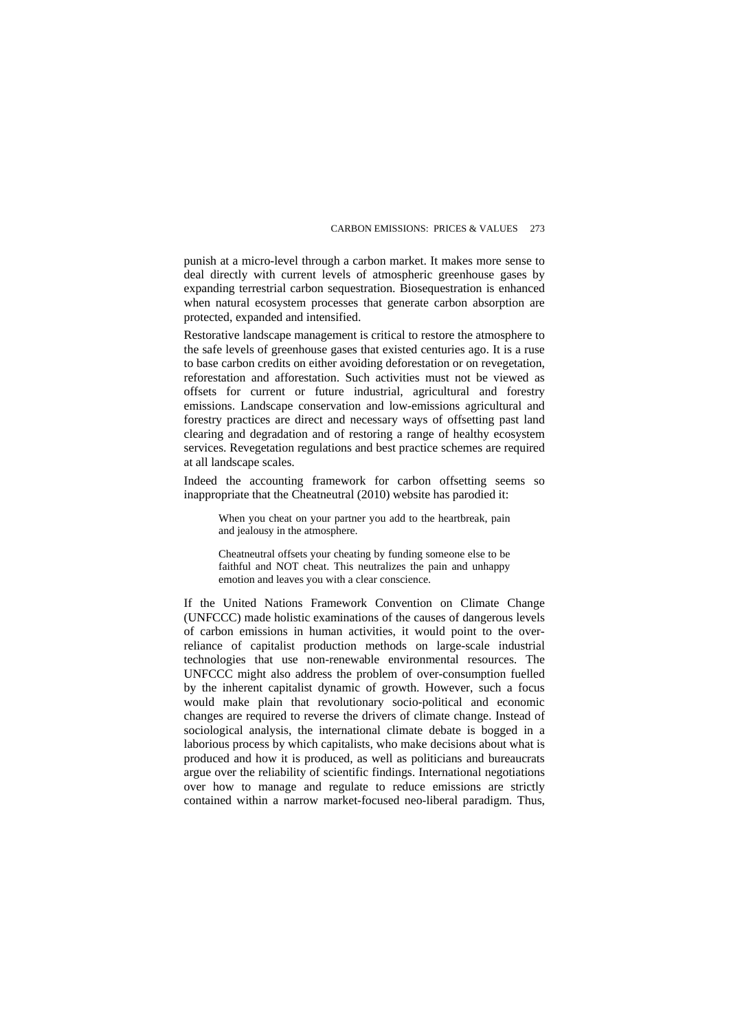punish at a micro-level through a carbon market. It makes more sense to deal directly with current levels of atmospheric greenhouse gases by expanding terrestrial carbon sequestration. Biosequestration is enhanced when natural ecosystem processes that generate carbon absorption are protected, expanded and intensified.

Restorative landscape management is critical to restore the atmosphere to the safe levels of greenhouse gases that existed centuries ago. It is a ruse to base carbon credits on either avoiding deforestation or on revegetation, reforestation and afforestation. Such activities must not be viewed as offsets for current or future industrial, agricultural and forestry emissions. Landscape conservation and low-emissions agricultural and forestry practices are direct and necessary ways of offsetting past land clearing and degradation and of restoring a range of healthy ecosystem services. Revegetation regulations and best practice schemes are required at all landscape scales.

Indeed the accounting framework for carbon offsetting seems so inappropriate that the Cheatneutral (2010) website has parodied it:

When you cheat on your partner you add to the heartbreak, pain and jealousy in the atmosphere.

Cheatneutral offsets your cheating by funding someone else to be faithful and NOT cheat. This neutralizes the pain and unhappy emotion and leaves you with a clear conscience.

If the United Nations Framework Convention on Climate Change (UNFCCC) made holistic examinations of the causes of dangerous levels of carbon emissions in human activities, it would point to the overreliance of capitalist production methods on large-scale industrial technologies that use non-renewable environmental resources. The UNFCCC might also address the problem of over-consumption fuelled by the inherent capitalist dynamic of growth. However, such a focus would make plain that revolutionary socio-political and economic changes are required to reverse the drivers of climate change. Instead of sociological analysis, the international climate debate is bogged in a laborious process by which capitalists, who make decisions about what is produced and how it is produced, as well as politicians and bureaucrats argue over the reliability of scientific findings. International negotiations over how to manage and regulate to reduce emissions are strictly contained within a narrow market-focused neo-liberal paradigm. Thus,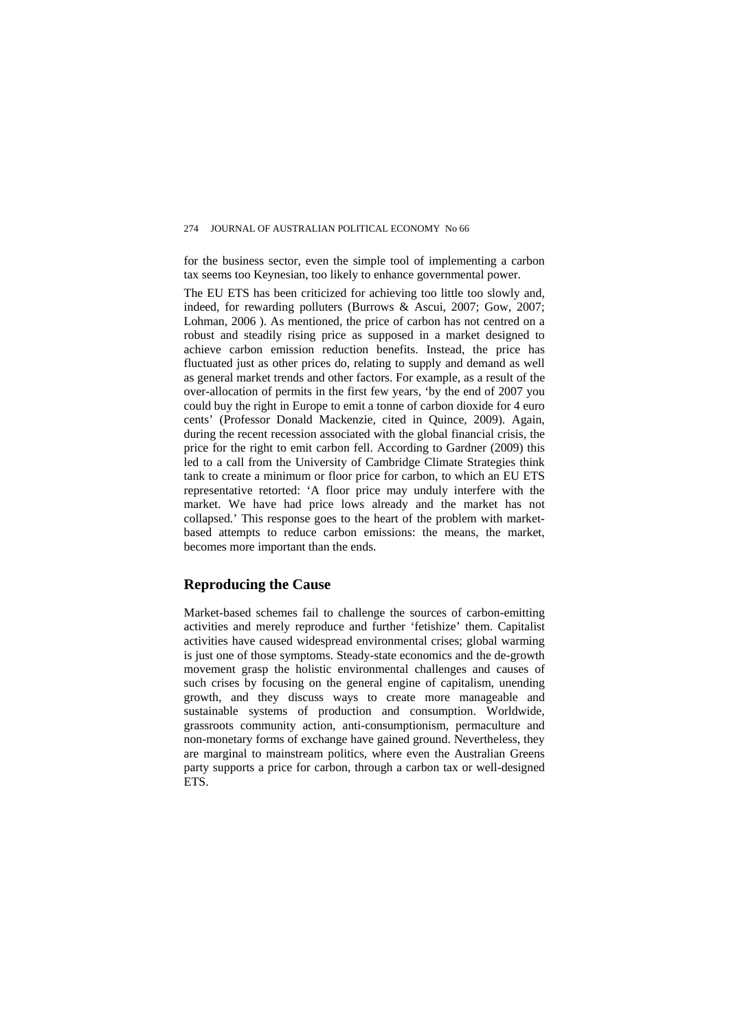for the business sector, even the simple tool of implementing a carbon tax seems too Keynesian, too likely to enhance governmental power.

The EU ETS has been criticized for achieving too little too slowly and, indeed, for rewarding polluters (Burrows & Ascui, 2007; Gow, 2007; Lohman, 2006 ). As mentioned, the price of carbon has not centred on a robust and steadily rising price as supposed in a market designed to achieve carbon emission reduction benefits. Instead, the price has fluctuated just as other prices do, relating to supply and demand as well as general market trends and other factors. For example, as a result of the over-allocation of permits in the first few years, 'by the end of 2007 you could buy the right in Europe to emit a tonne of carbon dioxide for 4 euro cents' (Professor Donald Mackenzie, cited in Quince, 2009). Again, during the recent recession associated with the global financial crisis, the price for the right to emit carbon fell. According to Gardner (2009) this led to a call from the University of Cambridge Climate Strategies think tank to create a minimum or floor price for carbon, to which an EU ETS representative retorted: 'A floor price may unduly interfere with the market. We have had price lows already and the market has not collapsed.' This response goes to the heart of the problem with marketbased attempts to reduce carbon emissions: the means, the market, becomes more important than the ends.

#### **Reproducing the Cause**

Market-based schemes fail to challenge the sources of carbon-emitting activities and merely reproduce and further 'fetishize' them. Capitalist activities have caused widespread environmental crises; global warming is just one of those symptoms. Steady-state economics and the de-growth movement grasp the holistic environmental challenges and causes of such crises by focusing on the general engine of capitalism, unending growth, and they discuss ways to create more manageable and sustainable systems of production and consumption. Worldwide, grassroots community action, anti-consumptionism, permaculture and non-monetary forms of exchange have gained ground. Nevertheless, they are marginal to mainstream politics, where even the Australian Greens party supports a price for carbon, through a carbon tax or well-designed ETS.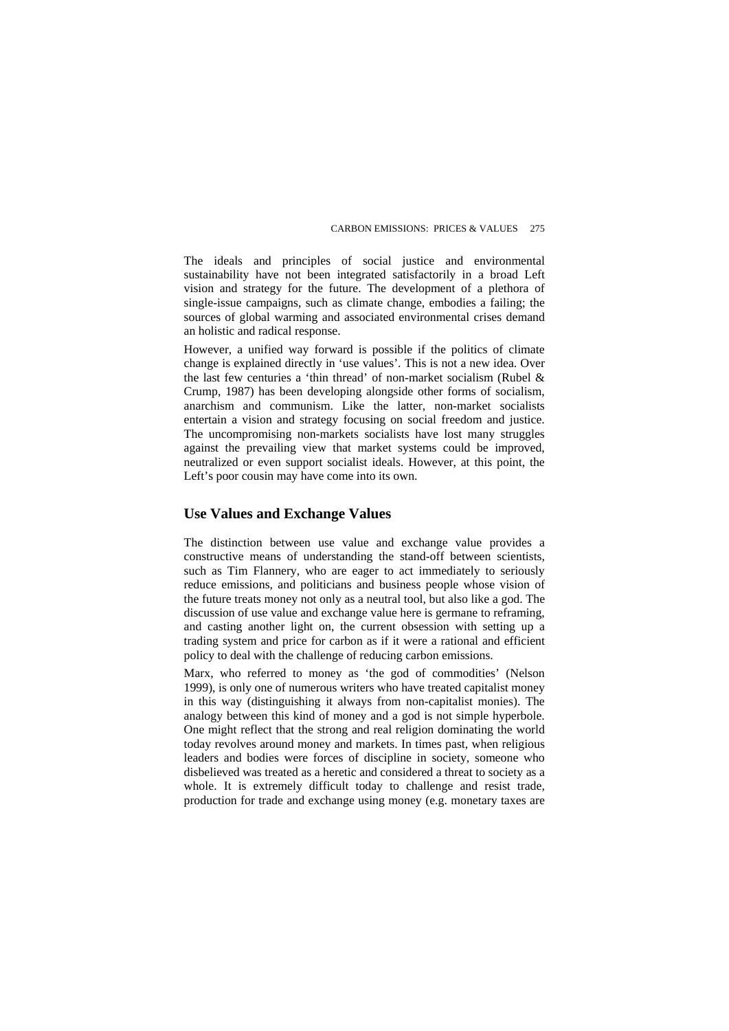The ideals and principles of social justice and environmental sustainability have not been integrated satisfactorily in a broad Left vision and strategy for the future. The development of a plethora of single-issue campaigns, such as climate change, embodies a failing; the sources of global warming and associated environmental crises demand an holistic and radical response.

However, a unified way forward is possible if the politics of climate change is explained directly in 'use values'. This is not a new idea. Over the last few centuries a 'thin thread' of non-market socialism (Rubel & Crump, 1987) has been developing alongside other forms of socialism, anarchism and communism. Like the latter, non-market socialists entertain a vision and strategy focusing on social freedom and justice. The uncompromising non-markets socialists have lost many struggles against the prevailing view that market systems could be improved, neutralized or even support socialist ideals. However, at this point, the Left's poor cousin may have come into its own.

## **Use Values and Exchange Values**

The distinction between use value and exchange value provides a constructive means of understanding the stand-off between scientists, such as Tim Flannery, who are eager to act immediately to seriously reduce emissions, and politicians and business people whose vision of the future treats money not only as a neutral tool, but also like a god. The discussion of use value and exchange value here is germane to reframing, and casting another light on, the current obsession with setting up a trading system and price for carbon as if it were a rational and efficient policy to deal with the challenge of reducing carbon emissions.

Marx, who referred to money as 'the god of commodities' (Nelson 1999), is only one of numerous writers who have treated capitalist money in this way (distinguishing it always from non-capitalist monies). The analogy between this kind of money and a god is not simple hyperbole. One might reflect that the strong and real religion dominating the world today revolves around money and markets. In times past, when religious leaders and bodies were forces of discipline in society, someone who disbelieved was treated as a heretic and considered a threat to society as a whole. It is extremely difficult today to challenge and resist trade, production for trade and exchange using money (e.g. monetary taxes are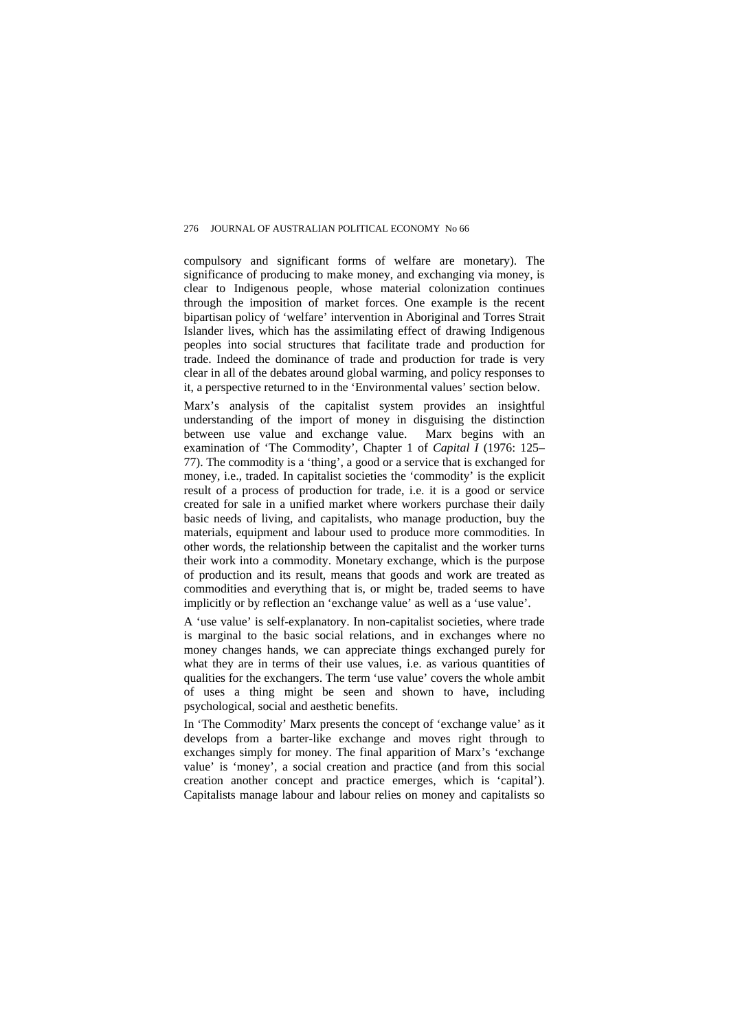compulsory and significant forms of welfare are monetary). The significance of producing to make money, and exchanging via money, is clear to Indigenous people, whose material colonization continues through the imposition of market forces. One example is the recent bipartisan policy of 'welfare' intervention in Aboriginal and Torres Strait Islander lives, which has the assimilating effect of drawing Indigenous peoples into social structures that facilitate trade and production for trade. Indeed the dominance of trade and production for trade is very clear in all of the debates around global warming, and policy responses to it, a perspective returned to in the 'Environmental values' section below.

Marx's analysis of the capitalist system provides an insightful understanding of the import of money in disguising the distinction between use value and exchange value. Marx begins with an examination of 'The Commodity', Chapter 1 of *Capital I* (1976: 125– 77). The commodity is a 'thing', a good or a service that is exchanged for money, i.e., traded. In capitalist societies the 'commodity' is the explicit result of a process of production for trade, i.e. it is a good or service created for sale in a unified market where workers purchase their daily basic needs of living, and capitalists, who manage production, buy the materials, equipment and labour used to produce more commodities. In other words, the relationship between the capitalist and the worker turns their work into a commodity. Monetary exchange, which is the purpose of production and its result, means that goods and work are treated as commodities and everything that is, or might be, traded seems to have implicitly or by reflection an 'exchange value' as well as a 'use value'.

A 'use value' is self-explanatory. In non-capitalist societies, where trade is marginal to the basic social relations, and in exchanges where no money changes hands, we can appreciate things exchanged purely for what they are in terms of their use values, *i.e.* as various quantities of qualities for the exchangers. The term 'use value' covers the whole ambit of uses a thing might be seen and shown to have, including psychological, social and aesthetic benefits.

In 'The Commodity' Marx presents the concept of 'exchange value' as it develops from a barter-like exchange and moves right through to exchanges simply for money. The final apparition of Marx's 'exchange value' is 'money', a social creation and practice (and from this social creation another concept and practice emerges, which is 'capital'). Capitalists manage labour and labour relies on money and capitalists so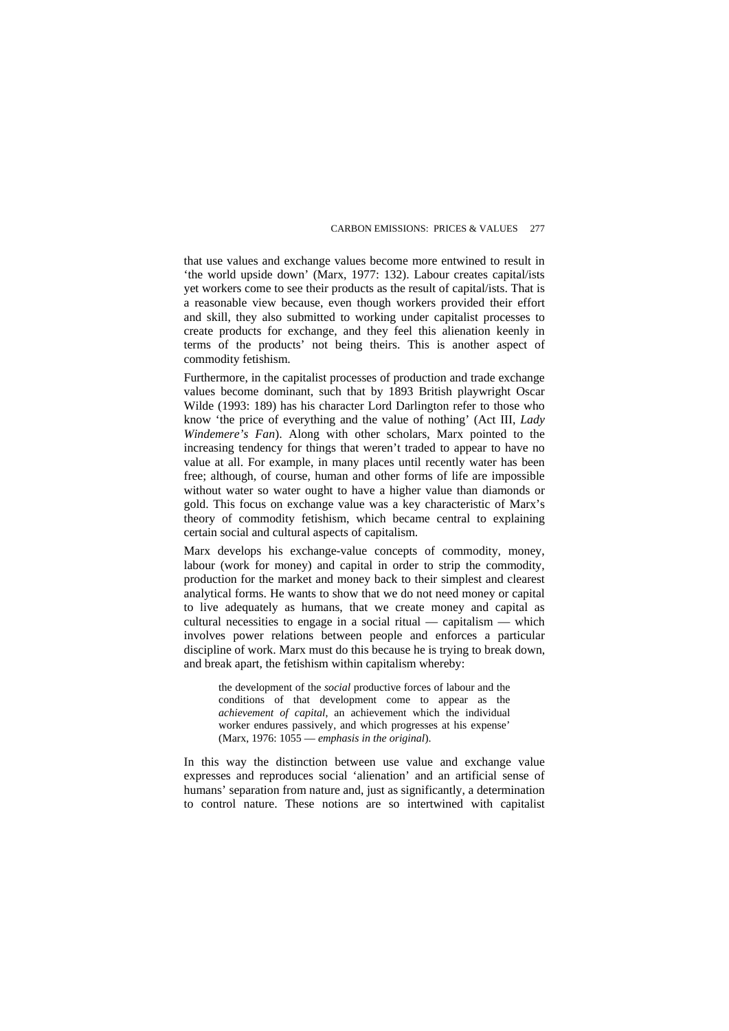that use values and exchange values become more entwined to result in 'the world upside down' (Marx, 1977: 132). Labour creates capital/ists yet workers come to see their products as the result of capital/ists. That is a reasonable view because, even though workers provided their effort and skill, they also submitted to working under capitalist processes to create products for exchange, and they feel this alienation keenly in terms of the products' not being theirs. This is another aspect of commodity fetishism.

Furthermore, in the capitalist processes of production and trade exchange values become dominant, such that by 1893 British playwright Oscar Wilde (1993: 189) has his character Lord Darlington refer to those who know 'the price of everything and the value of nothing' (Act III, *Lady Windemere's Fan*). Along with other scholars, Marx pointed to the increasing tendency for things that weren't traded to appear to have no value at all. For example, in many places until recently water has been free; although, of course, human and other forms of life are impossible without water so water ought to have a higher value than diamonds or gold. This focus on exchange value was a key characteristic of Marx's theory of commodity fetishism, which became central to explaining certain social and cultural aspects of capitalism.

Marx develops his exchange-value concepts of commodity, money, labour (work for money) and capital in order to strip the commodity, production for the market and money back to their simplest and clearest analytical forms. He wants to show that we do not need money or capital to live adequately as humans, that we create money and capital as cultural necessities to engage in a social ritual — capitalism — which involves power relations between people and enforces a particular discipline of work. Marx must do this because he is trying to break down, and break apart, the fetishism within capitalism whereby:

the development of the *social* productive forces of labour and the conditions of that development come to appear as the *achievement of capital*, an achievement which the individual worker endures passively, and which progresses at his expense' (Marx, 1976: 1055 — *emphasis in the original*).

In this way the distinction between use value and exchange value expresses and reproduces social 'alienation' and an artificial sense of humans' separation from nature and, just as significantly, a determination to control nature. These notions are so intertwined with capitalist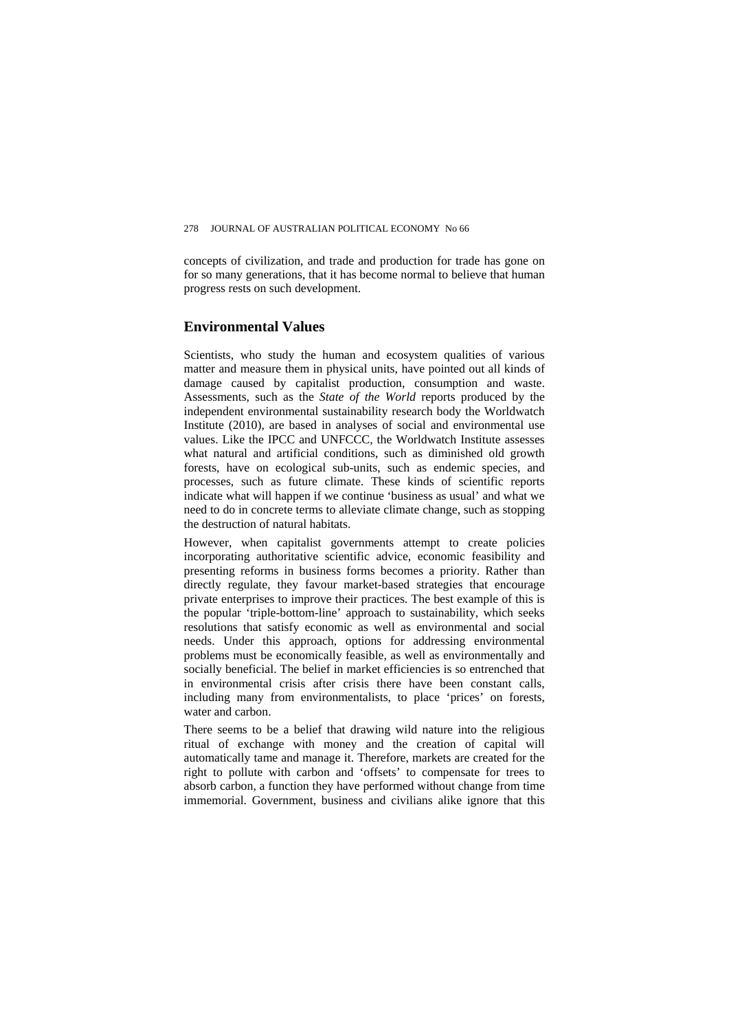concepts of civilization, and trade and production for trade has gone on for so many generations, that it has become normal to believe that human progress rests on such development.

## **Environmental Values**

Scientists, who study the human and ecosystem qualities of various matter and measure them in physical units, have pointed out all kinds of damage caused by capitalist production, consumption and waste. Assessments, such as the *State of the World* reports produced by the independent environmental sustainability research body the Worldwatch Institute (2010)*,* are based in analyses of social and environmental use values. Like the IPCC and UNFCCC, the Worldwatch Institute assesses what natural and artificial conditions, such as diminished old growth forests, have on ecological sub-units, such as endemic species, and processes, such as future climate. These kinds of scientific reports indicate what will happen if we continue 'business as usual' and what we need to do in concrete terms to alleviate climate change, such as stopping the destruction of natural habitats.

However, when capitalist governments attempt to create policies incorporating authoritative scientific advice, economic feasibility and presenting reforms in business forms becomes a priority. Rather than directly regulate, they favour market-based strategies that encourage private enterprises to improve their practices. The best example of this is the popular 'triple-bottom-line' approach to sustainability, which seeks resolutions that satisfy economic as well as environmental and social needs. Under this approach, options for addressing environmental problems must be economically feasible, as well as environmentally and socially beneficial. The belief in market efficiencies is so entrenched that in environmental crisis after crisis there have been constant calls, including many from environmentalists, to place 'prices' on forests, water and carbon.

There seems to be a belief that drawing wild nature into the religious ritual of exchange with money and the creation of capital will automatically tame and manage it. Therefore, markets are created for the right to pollute with carbon and 'offsets' to compensate for trees to absorb carbon, a function they have performed without change from time immemorial. Government, business and civilians alike ignore that this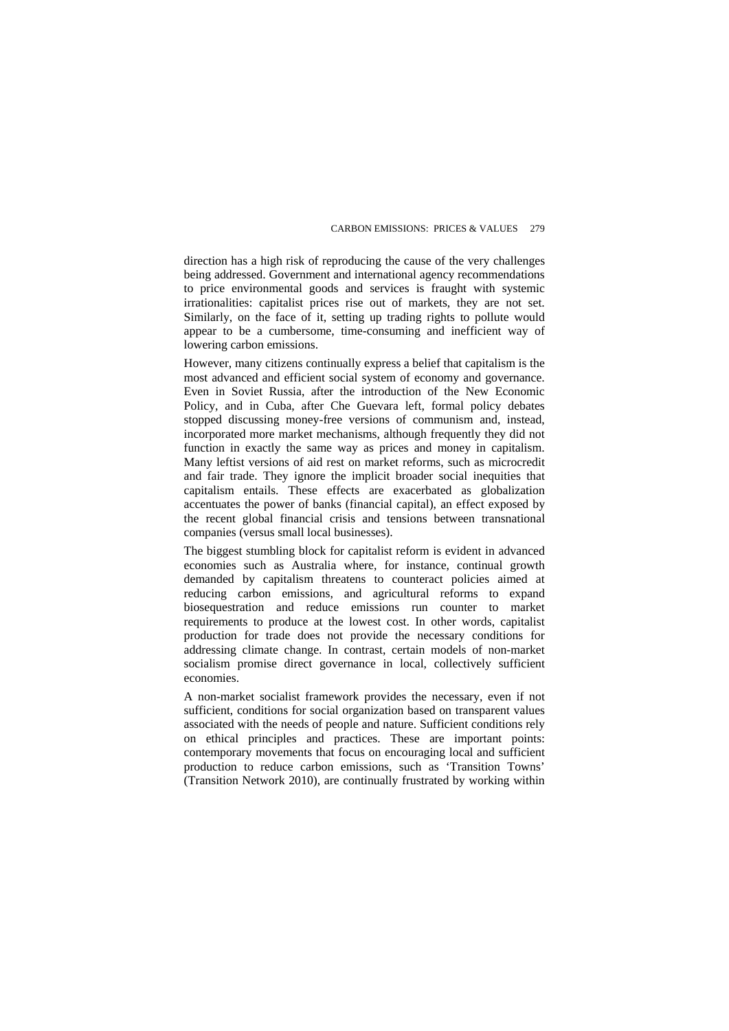direction has a high risk of reproducing the cause of the very challenges being addressed. Government and international agency recommendations to price environmental goods and services is fraught with systemic irrationalities: capitalist prices rise out of markets, they are not set. Similarly, on the face of it, setting up trading rights to pollute would appear to be a cumbersome, time-consuming and inefficient way of lowering carbon emissions.

However, many citizens continually express a belief that capitalism is the most advanced and efficient social system of economy and governance. Even in Soviet Russia, after the introduction of the New Economic Policy, and in Cuba, after Che Guevara left, formal policy debates stopped discussing money-free versions of communism and, instead, incorporated more market mechanisms, although frequently they did not function in exactly the same way as prices and money in capitalism. Many leftist versions of aid rest on market reforms, such as microcredit and fair trade. They ignore the implicit broader social inequities that capitalism entails. These effects are exacerbated as globalization accentuates the power of banks (financial capital), an effect exposed by the recent global financial crisis and tensions between transnational companies (versus small local businesses).

The biggest stumbling block for capitalist reform is evident in advanced economies such as Australia where, for instance, continual growth demanded by capitalism threatens to counteract policies aimed at reducing carbon emissions, and agricultural reforms to expand biosequestration and reduce emissions run counter to market requirements to produce at the lowest cost. In other words, capitalist production for trade does not provide the necessary conditions for addressing climate change. In contrast, certain models of non-market socialism promise direct governance in local, collectively sufficient economies.

A non-market socialist framework provides the necessary, even if not sufficient, conditions for social organization based on transparent values associated with the needs of people and nature. Sufficient conditions rely on ethical principles and practices. These are important points: contemporary movements that focus on encouraging local and sufficient production to reduce carbon emissions, such as 'Transition Towns' (Transition Network 2010), are continually frustrated by working within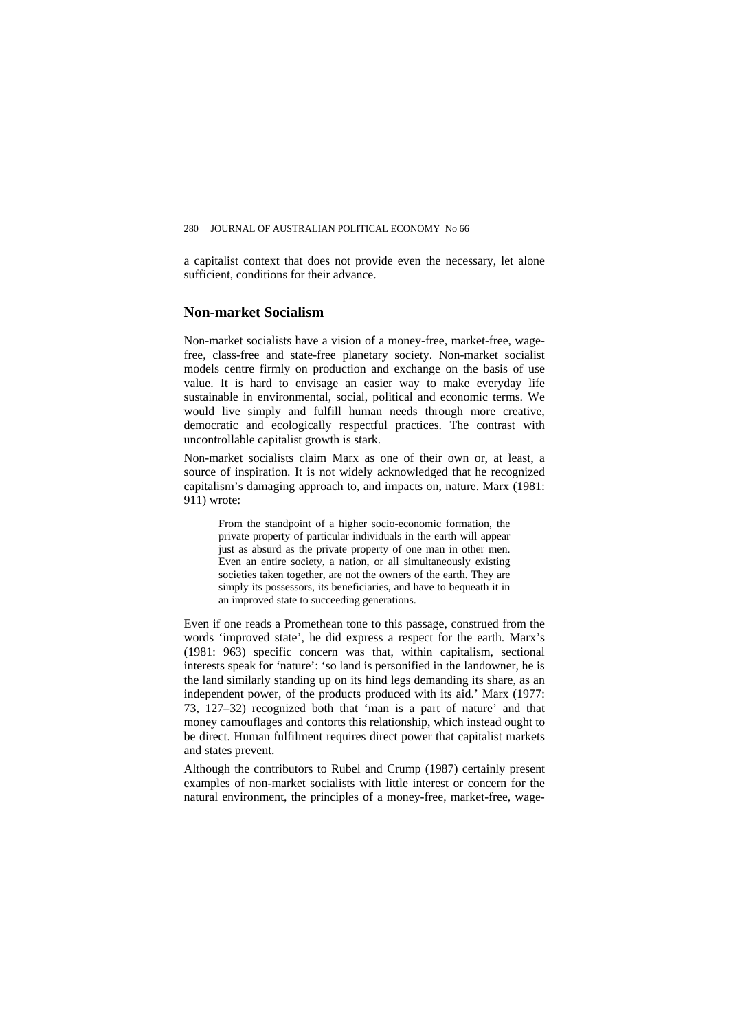a capitalist context that does not provide even the necessary, let alone sufficient, conditions for their advance.

#### **Non-market Socialism**

Non-market socialists have a vision of a money-free, market-free, wagefree, class-free and state-free planetary society. Non-market socialist models centre firmly on production and exchange on the basis of use value. It is hard to envisage an easier way to make everyday life sustainable in environmental, social, political and economic terms. We would live simply and fulfill human needs through more creative, democratic and ecologically respectful practices. The contrast with uncontrollable capitalist growth is stark.

Non-market socialists claim Marx as one of their own or, at least, a source of inspiration. It is not widely acknowledged that he recognized capitalism's damaging approach to, and impacts on, nature. Marx (1981: 911) wrote:

From the standpoint of a higher socio-economic formation, the private property of particular individuals in the earth will appear just as absurd as the private property of one man in other men. Even an entire society, a nation, or all simultaneously existing societies taken together, are not the owners of the earth. They are simply its possessors, its beneficiaries, and have to bequeath it in an improved state to succeeding generations.

Even if one reads a Promethean tone to this passage, construed from the words 'improved state', he did express a respect for the earth. Marx's (1981: 963) specific concern was that, within capitalism, sectional interests speak for 'nature': 'so land is personified in the landowner, he is the land similarly standing up on its hind legs demanding its share, as an independent power, of the products produced with its aid.' Marx (1977: 73, 127–32) recognized both that 'man is a part of nature' and that money camouflages and contorts this relationship, which instead ought to be direct. Human fulfilment requires direct power that capitalist markets and states prevent.

Although the contributors to Rubel and Crump (1987) certainly present examples of non-market socialists with little interest or concern for the natural environment, the principles of a money-free, market-free, wage-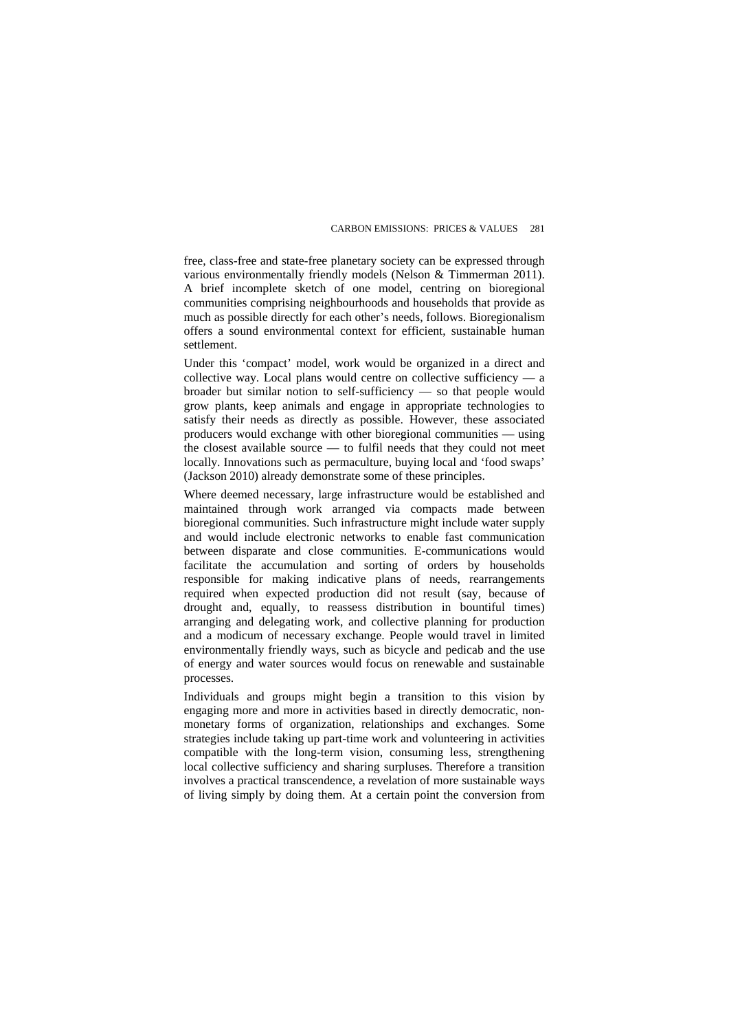free, class-free and state-free planetary society can be expressed through various environmentally friendly models (Nelson & Timmerman 2011). A brief incomplete sketch of one model, centring on bioregional communities comprising neighbourhoods and households that provide as much as possible directly for each other's needs, follows. Bioregionalism offers a sound environmental context for efficient, sustainable human settlement.

Under this 'compact' model, work would be organized in a direct and collective way. Local plans would centre on collective sufficiency — a broader but similar notion to self-sufficiency — so that people would grow plants, keep animals and engage in appropriate technologies to satisfy their needs as directly as possible. However, these associated producers would exchange with other bioregional communities — using the closest available source — to fulfil needs that they could not meet locally. Innovations such as permaculture, buying local and 'food swaps' (Jackson 2010) already demonstrate some of these principles.

Where deemed necessary, large infrastructure would be established and maintained through work arranged via compacts made between bioregional communities. Such infrastructure might include water supply and would include electronic networks to enable fast communication between disparate and close communities. E-communications would facilitate the accumulation and sorting of orders by households responsible for making indicative plans of needs, rearrangements required when expected production did not result (say, because of drought and, equally, to reassess distribution in bountiful times) arranging and delegating work, and collective planning for production and a modicum of necessary exchange. People would travel in limited environmentally friendly ways, such as bicycle and pedicab and the use of energy and water sources would focus on renewable and sustainable processes.

Individuals and groups might begin a transition to this vision by engaging more and more in activities based in directly democratic, nonmonetary forms of organization, relationships and exchanges. Some strategies include taking up part-time work and volunteering in activities compatible with the long-term vision, consuming less, strengthening local collective sufficiency and sharing surpluses. Therefore a transition involves a practical transcendence, a revelation of more sustainable ways of living simply by doing them. At a certain point the conversion from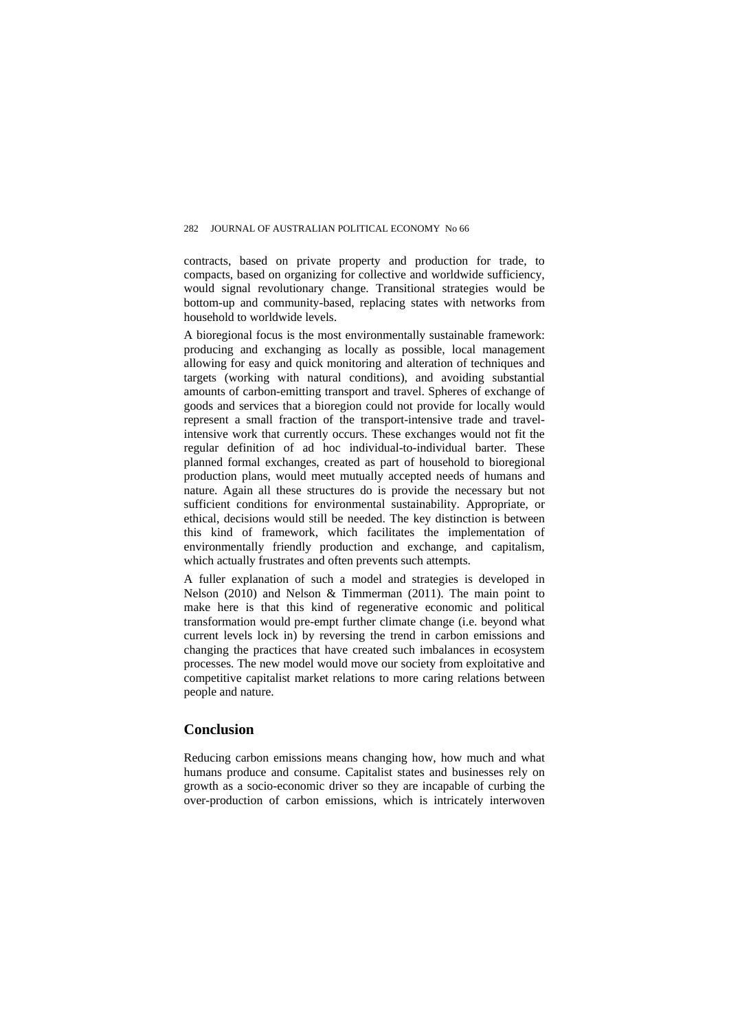contracts, based on private property and production for trade, to compacts, based on organizing for collective and worldwide sufficiency, would signal revolutionary change. Transitional strategies would be bottom-up and community-based, replacing states with networks from household to worldwide levels.

A bioregional focus is the most environmentally sustainable framework: producing and exchanging as locally as possible, local management allowing for easy and quick monitoring and alteration of techniques and targets (working with natural conditions), and avoiding substantial amounts of carbon-emitting transport and travel. Spheres of exchange of goods and services that a bioregion could not provide for locally would represent a small fraction of the transport-intensive trade and travelintensive work that currently occurs. These exchanges would not fit the regular definition of ad hoc individual-to-individual barter. These planned formal exchanges, created as part of household to bioregional production plans, would meet mutually accepted needs of humans and nature. Again all these structures do is provide the necessary but not sufficient conditions for environmental sustainability. Appropriate, or ethical, decisions would still be needed. The key distinction is between this kind of framework, which facilitates the implementation of environmentally friendly production and exchange, and capitalism, which actually frustrates and often prevents such attempts.

A fuller explanation of such a model and strategies is developed in Nelson (2010) and Nelson & Timmerman (2011). The main point to make here is that this kind of regenerative economic and political transformation would pre-empt further climate change (i.e. beyond what current levels lock in) by reversing the trend in carbon emissions and changing the practices that have created such imbalances in ecosystem processes. The new model would move our society from exploitative and competitive capitalist market relations to more caring relations between people and nature.

## **Conclusion**

Reducing carbon emissions means changing how, how much and what humans produce and consume. Capitalist states and businesses rely on growth as a socio-economic driver so they are incapable of curbing the over-production of carbon emissions, which is intricately interwoven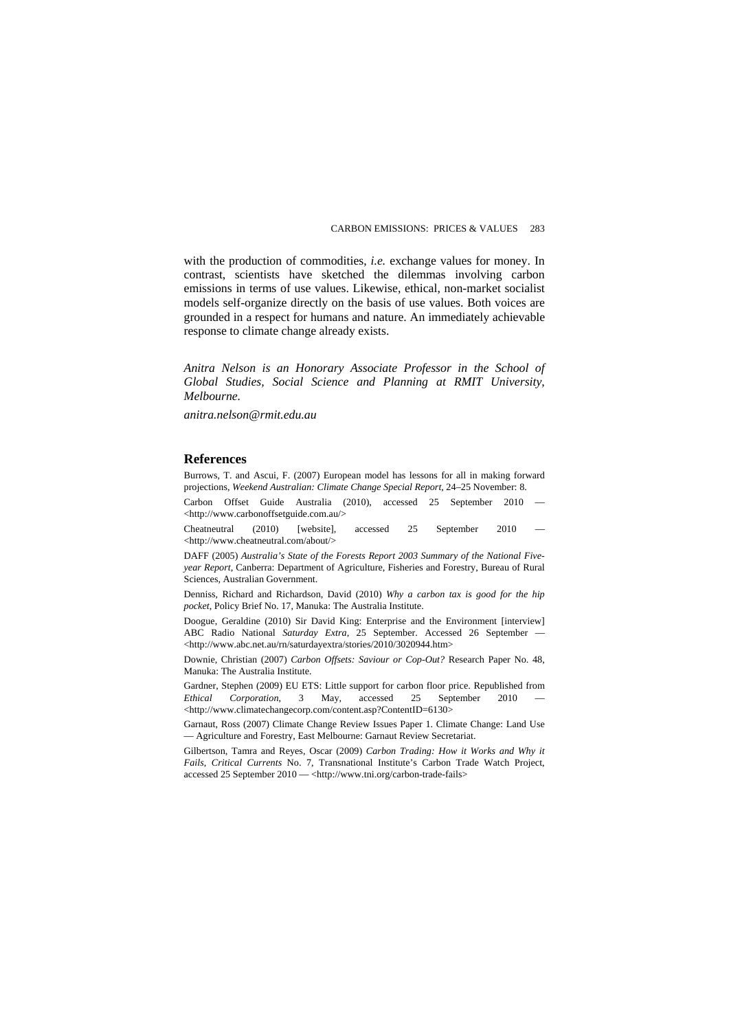with the production of commodities, *i.e.* exchange values for money. In contrast, scientists have sketched the dilemmas involving carbon emissions in terms of use values. Likewise, ethical, non-market socialist models self-organize directly on the basis of use values. Both voices are grounded in a respect for humans and nature. An immediately achievable response to climate change already exists.

*Anitra Nelson is an Honorary Associate Professor in the School of Global Studies, Social Science and Planning at RMIT University, Melbourne.* 

*anitra.nelson@rmit.edu.au* 

#### **References**

Burrows, T. and Ascui, F. (2007) European model has lessons for all in making forward projections, *Weekend Australian: Climate Change Special Report*, 24–25 November: 8.

Carbon Offset Guide Australia (2010), accessed 25 September 2010 — <http://www.carbonoffsetguide.com.au/>

Cheatneutral (2010) [website], accessed 25 September 2010 — <http://www.cheatneutral.com/about/>

DAFF (2005) *Australia's State of the Forests Report 2003 Summary of the National Fiveyear Report*, Canberra: Department of Agriculture, Fisheries and Forestry, Bureau of Rural Sciences, Australian Government.

Denniss, Richard and Richardson, David (2010) *Why a carbon tax is good for the hip pocket*, Policy Brief No. 17, Manuka: The Australia Institute.

Doogue, Geraldine (2010) Sir David King: Enterprise and the Environment [interview] ABC Radio National *Saturday Extra*, 25 September. Accessed 26 September — <http://www.abc.net.au/rn/saturdayextra/stories/2010/3020944.htm>

Downie, Christian (2007) *Carbon Offsets: Saviour or Cop-Out?* Research Paper No. 48, Manuka: The Australia Institute.

Gardner, Stephen (2009) EU ETS: Little support for carbon floor price. Republished from *Ethical Corporation*, 3 May, accessed 25 September 2010 — <http://www.climatechangecorp.com/content.asp?ContentID=6130>

Garnaut, Ross (2007) Climate Change Review Issues Paper 1. Climate Change: Land Use — Agriculture and Forestry, East Melbourne: Garnaut Review Secretariat.

Gilbertson, Tamra and Reyes, Oscar (2009) *Carbon Trading: How it Works and Why it Fails*, *Critical Currents* No. 7, Transnational Institute's Carbon Trade Watch Project, accessed 25 September 2010 — <http://www.tni.org/carbon-trade-fails>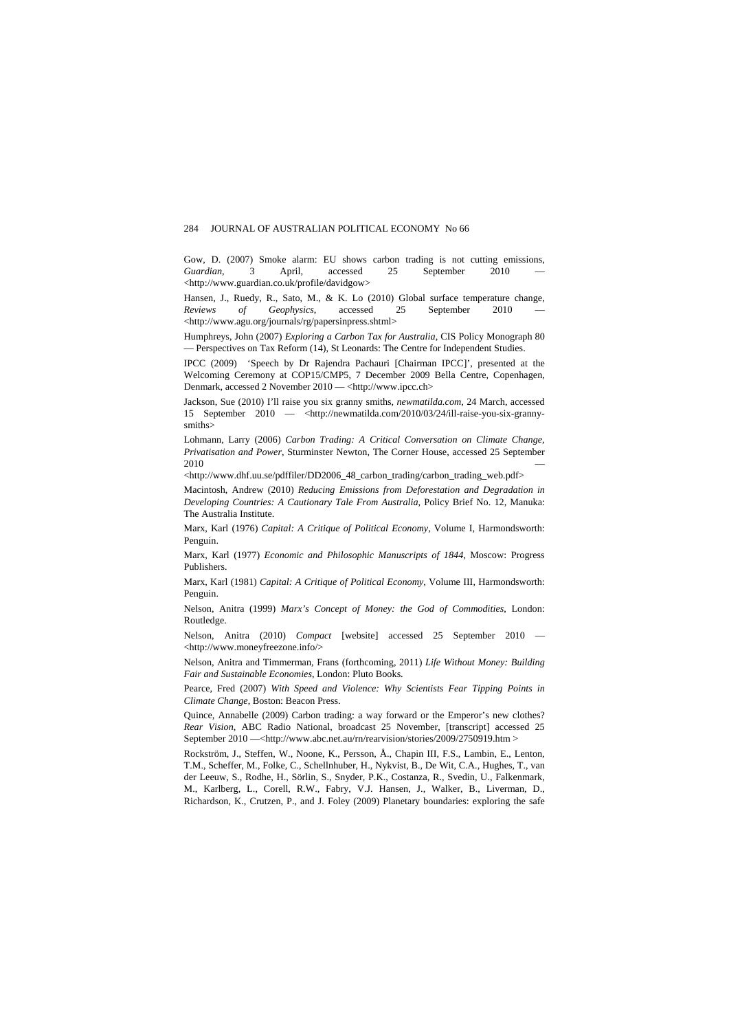Gow, D. (2007) Smoke alarm: EU shows carbon trading is not cutting emissions, *Guardian*, 3 April, accessed 25 September 2010 <http://www.guardian.co.uk/profile/davidgow>

Hansen, J., Ruedy, R., Sato, M., & K. Lo (2010) Global surface temperature change, *Reviews of Geophysics*, accessed 25 September 2010 <http://www.agu.org/journals/rg/papersinpress.shtml>

Humphreys, John (2007) *Exploring a Carbon Tax for Australia*, CIS Policy Monograph 80 — Perspectives on Tax Reform (14), St Leonards: The Centre for Independent Studies.

IPCC (2009) 'Speech by Dr Rajendra Pachauri [Chairman IPCC]', presented at the Welcoming Ceremony at COP15/CMP5, 7 December 2009 Bella Centre, Copenhagen, Denmark, accessed 2 November 2010 — <http://www.ipcc.ch>

Jackson, Sue (2010) I'll raise you six granny smiths, *newmatilda.com*, 24 March, accessed 15 September 2010 —  $\lt$ http://newmatilda.com/2010/03/24/ill-raise-you-six-grannysmiths>

Lohmann, Larry (2006) *Carbon Trading: A Critical Conversation on Climate Change, Privatisation and Power*, Sturminster Newton, The Corner House, accessed 25 September  $2010$   $-$ 

<http://www.dhf.uu.se/pdffiler/DD2006\_48\_carbon\_trading/carbon\_trading\_web.pdf>

Macintosh, Andrew (2010) *Reducing Emissions from Deforestation and Degradation in Developing Countries: A Cautionary Tale From Australia*, Policy Brief No. 12, Manuka: The Australia Institute.

Marx, Karl (1976) *Capital: A Critique of Political Economy*, Volume I, Harmondsworth: Penguin.

Marx, Karl (1977) *Economic and Philosophic Manuscripts of 1844*, Moscow: Progress Publishers.

Marx, Karl (1981) *Capital: A Critique of Political Economy*, Volume III, Harmondsworth: Penguin.

Nelson, Anitra (1999) *Marx's Concept of Money: the God of Commodities*, London: Routledge.

Nelson, Anitra (2010) *Compact* [website] accessed 25 September 2010 — <http://www.moneyfreezone.info/>

Nelson, Anitra and Timmerman, Frans (forthcoming, 2011) *Life Without Money: Building Fair and Sustainable Economies*, London: Pluto Books.

Pearce, Fred (2007) *With Speed and Violence: Why Scientists Fear Tipping Points in Climate Change*, Boston: Beacon Press.

Quince, Annabelle (2009) Carbon trading: a way forward or the Emperor's new clothes? *Rear Vision*, ABC Radio National, broadcast 25 November, [transcript] accessed 25 September 2010 —<http://www.abc.net.au/rn/rearvision/stories/2009/2750919.htm >

Rockström, J., Steffen, W., Noone, K., Persson, Å., Chapin III, F.S., Lambin, E., Lenton, T.M., Scheffer, M., Folke, C., Schellnhuber, H., Nykvist, B., De Wit, C.A., Hughes, T., van der Leeuw, S., Rodhe, H., Sörlin, S., Snyder, P.K., Costanza, R., Svedin, U., Falkenmark, M., Karlberg, L., Corell, R.W., Fabry, V.J. Hansen, J., Walker, B., Liverman, D., Richardson, K., Crutzen, P., and J. Foley (2009) Planetary boundaries: exploring the safe